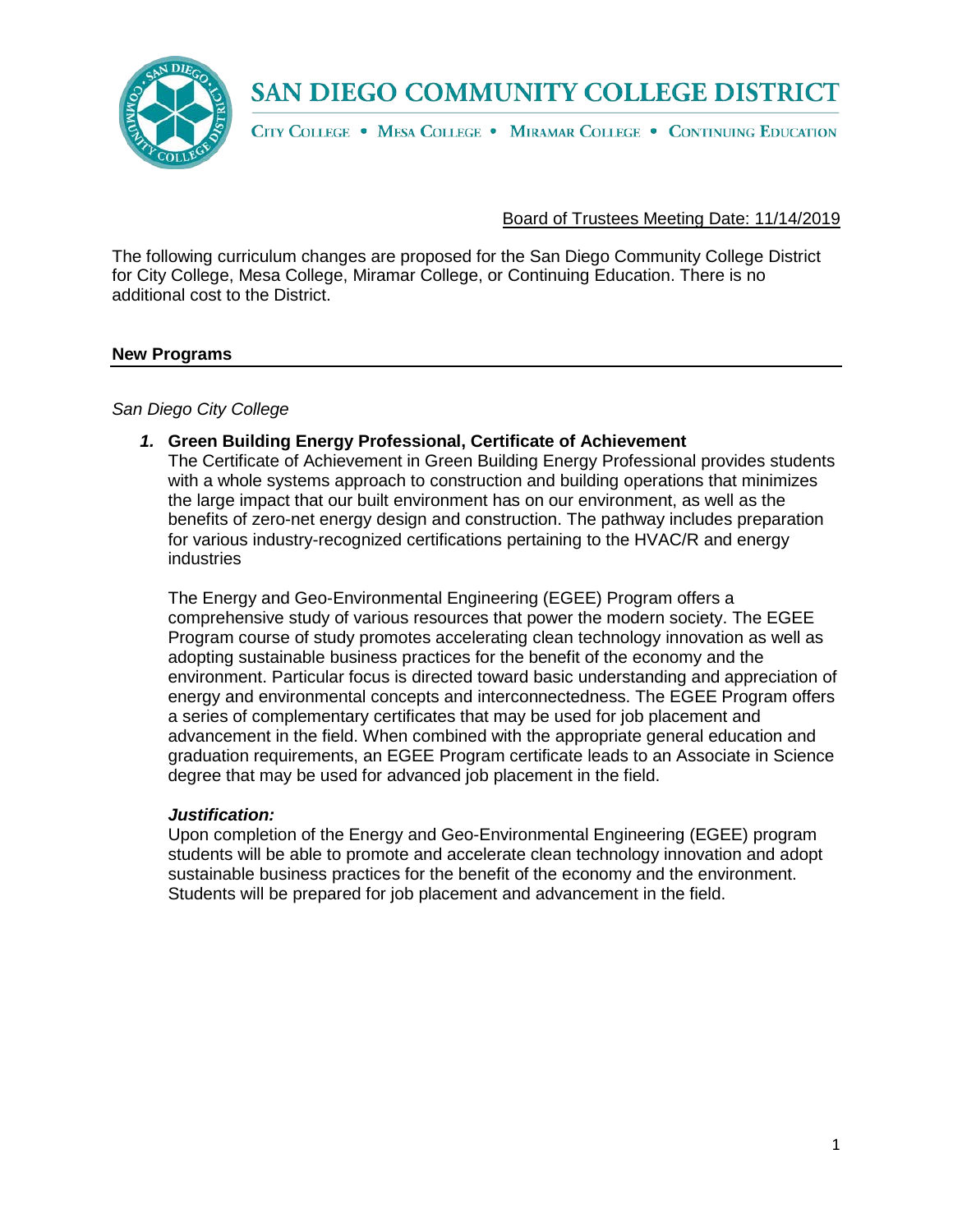

CITY COLLEGE . MESA COLLEGE . MIRAMAR COLLEGE . CONTINUING EDUCATION

# Board of Trustees Meeting Date: 11/14/2019

The following curriculum changes are proposed for the San Diego Community College District for City College, Mesa College, Miramar College, or Continuing Education. There is no additional cost to the District.

### **New Programs**

#### *San Diego City College*

*1.* **Green Building Energy Professional, Certificate of Achievement**

The Certificate of Achievement in Green Building Energy Professional provides students with a whole systems approach to construction and building operations that minimizes the large impact that our built environment has on our environment, as well as the benefits of zero-net energy design and construction. The pathway includes preparation for various industry-recognized certifications pertaining to the HVAC/R and energy industries

The Energy and Geo-Environmental Engineering (EGEE) Program offers a comprehensive study of various resources that power the modern society. The EGEE Program course of study promotes accelerating clean technology innovation as well as adopting sustainable business practices for the benefit of the economy and the environment. Particular focus is directed toward basic understanding and appreciation of energy and environmental concepts and interconnectedness. The EGEE Program offers a series of complementary certificates that may be used for job placement and advancement in the field. When combined with the appropriate general education and graduation requirements, an EGEE Program certificate leads to an Associate in Science degree that may be used for advanced job placement in the field.

### *Justification:*

Upon completion of the Energy and Geo-Environmental Engineering (EGEE) program students will be able to promote and accelerate clean technology innovation and adopt sustainable business practices for the benefit of the economy and the environment. Students will be prepared for job placement and advancement in the field.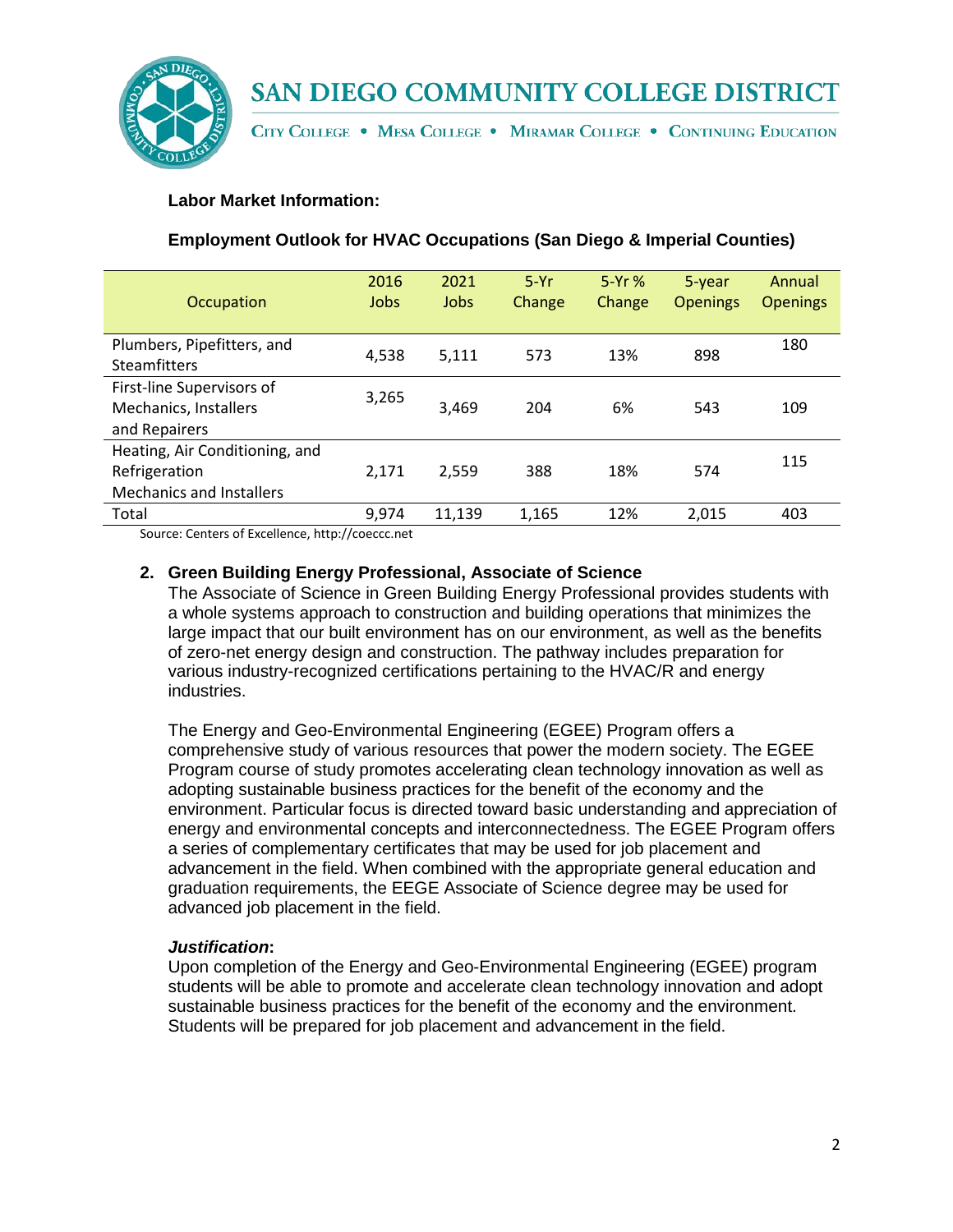

CITY COLLEGE . MESA COLLEGE . MIRAMAR COLLEGE . CONTINUING EDUCATION

# **Labor Market Information:**

# **Employment Outlook for HVAC Occupations (San Diego & Imperial Counties)**

|                                                 | 2016  | 2021   | $5-Yr$ | $5-Yr$ % | 5-year          | Annual          |
|-------------------------------------------------|-------|--------|--------|----------|-----------------|-----------------|
| Occupation                                      | Jobs  | Jobs   | Change | Change   | <b>Openings</b> | <b>Openings</b> |
|                                                 |       |        |        |          |                 |                 |
| Plumbers, Pipefitters, and                      |       |        |        | 13%      |                 | 180             |
| <b>Steamfitters</b>                             | 4,538 | 5,111  | 573    |          | 898             |                 |
| First-line Supervisors of                       |       |        |        |          |                 |                 |
| Mechanics, Installers                           | 3,265 | 3,469  | 204    | 6%       | 543             | 109             |
| and Repairers                                   |       |        |        |          |                 |                 |
| Heating, Air Conditioning, and                  |       |        |        |          |                 |                 |
| Refrigeration                                   | 2,171 | 2.559  | 388    | 18%      | 574             | 115             |
| <b>Mechanics and Installers</b>                 |       |        |        |          |                 |                 |
| Total                                           | 9,974 | 11,139 | 1,165  | 12%      | 2,015           | 403             |
| Course Contras of Eurollianos Literaliseros ant |       |        |        |          |                 |                 |

Source: Centers of Excellence, http://coeccc.net

# **2. Green Building Energy Professional, Associate of Science**

The Associate of Science in Green Building Energy Professional provides students with a whole systems approach to construction and building operations that minimizes the large impact that our built environment has on our environment, as well as the benefits of zero-net energy design and construction. The pathway includes preparation for various industry-recognized certifications pertaining to the HVAC/R and energy industries.

The Energy and Geo-Environmental Engineering (EGEE) Program offers a comprehensive study of various resources that power the modern society. The EGEE Program course of study promotes accelerating clean technology innovation as well as adopting sustainable business practices for the benefit of the economy and the environment. Particular focus is directed toward basic understanding and appreciation of energy and environmental concepts and interconnectedness. The EGEE Program offers a series of complementary certificates that may be used for job placement and advancement in the field. When combined with the appropriate general education and graduation requirements, the EEGE Associate of Science degree may be used for advanced job placement in the field.

#### *Justification***:**

Upon completion of the Energy and Geo-Environmental Engineering (EGEE) program students will be able to promote and accelerate clean technology innovation and adopt sustainable business practices for the benefit of the economy and the environment. Students will be prepared for job placement and advancement in the field.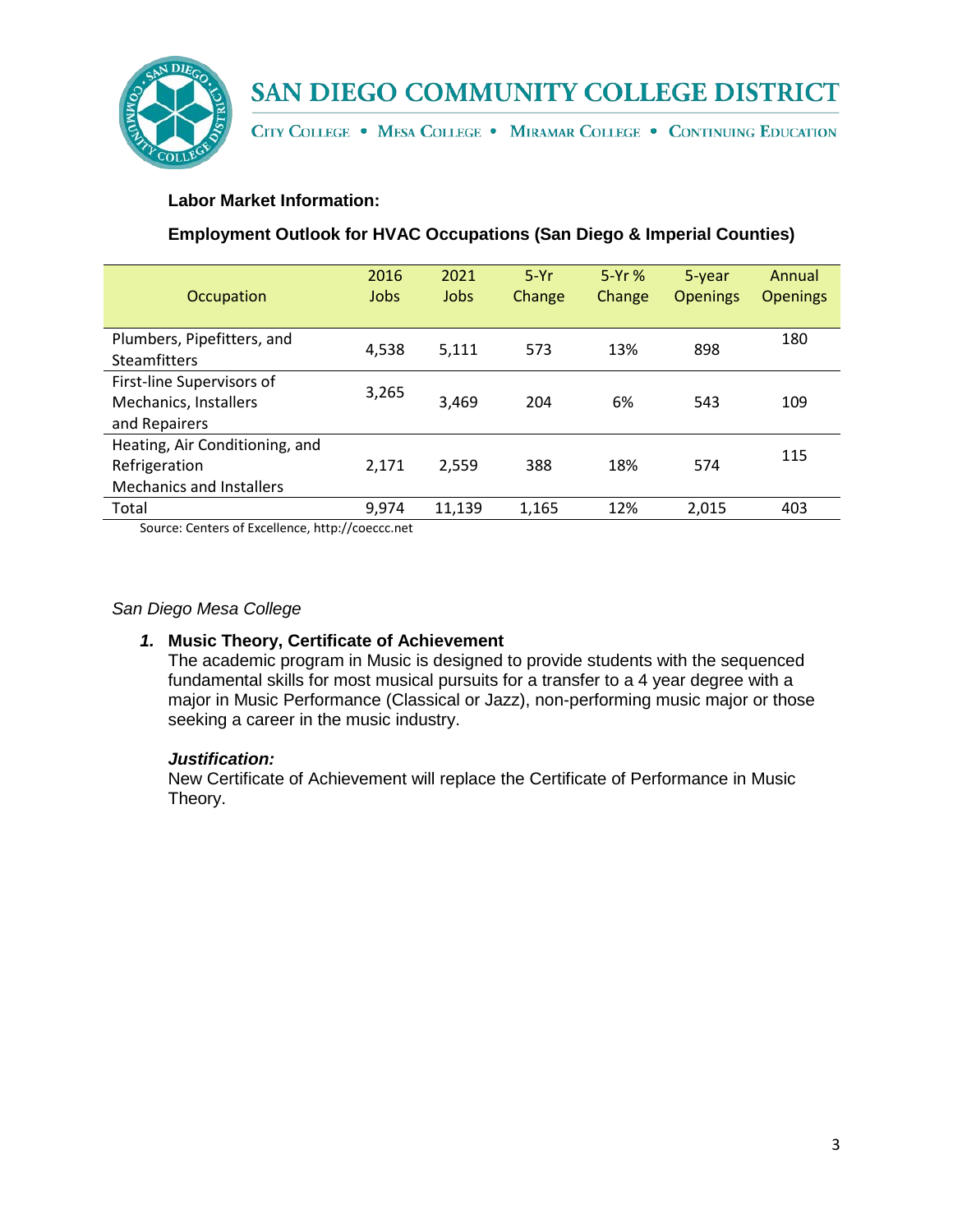

CITY COLLEGE . MESA COLLEGE . MIRAMAR COLLEGE . CONTINUING EDUCATION

# **Labor Market Information:**

# **Employment Outlook for HVAC Occupations (San Diego & Imperial Counties)**

| <b>Occupation</b>                                                                  | 2016<br>Jobs | 2021<br>Jobs | $5-Yr$<br>Change | $5-Yr$ %<br>Change | 5-year<br><b>Openings</b> | Annual<br><b>Openings</b> |
|------------------------------------------------------------------------------------|--------------|--------------|------------------|--------------------|---------------------------|---------------------------|
| Plumbers, Pipefitters, and<br><b>Steamfitters</b>                                  | 4,538        | 5,111        | 573              | 13%                | 898                       | 180                       |
| First-line Supervisors of<br>Mechanics, Installers<br>and Repairers                | 3,265        | 3,469        | 204              | 6%                 | 543                       | 109                       |
| Heating, Air Conditioning, and<br>Refrigeration<br><b>Mechanics and Installers</b> | 2,171        | 2,559        | 388              | 18%                | 574                       | 115                       |
| Total                                                                              | 9,974        | 11,139       | 1,165            | 12%                | 2,015                     | 403                       |

Source: Centers of Excellence, http://coeccc.net

# *San Diego Mesa College*

# *1.* **Music Theory, Certificate of Achievement**

The academic program in Music is designed to provide students with the sequenced fundamental skills for most musical pursuits for a transfer to a 4 year degree with a major in Music Performance (Classical or Jazz), non-performing music major or those seeking a career in the music industry.

#### *Justification:*

New Certificate of Achievement will replace the Certificate of Performance in Music Theory.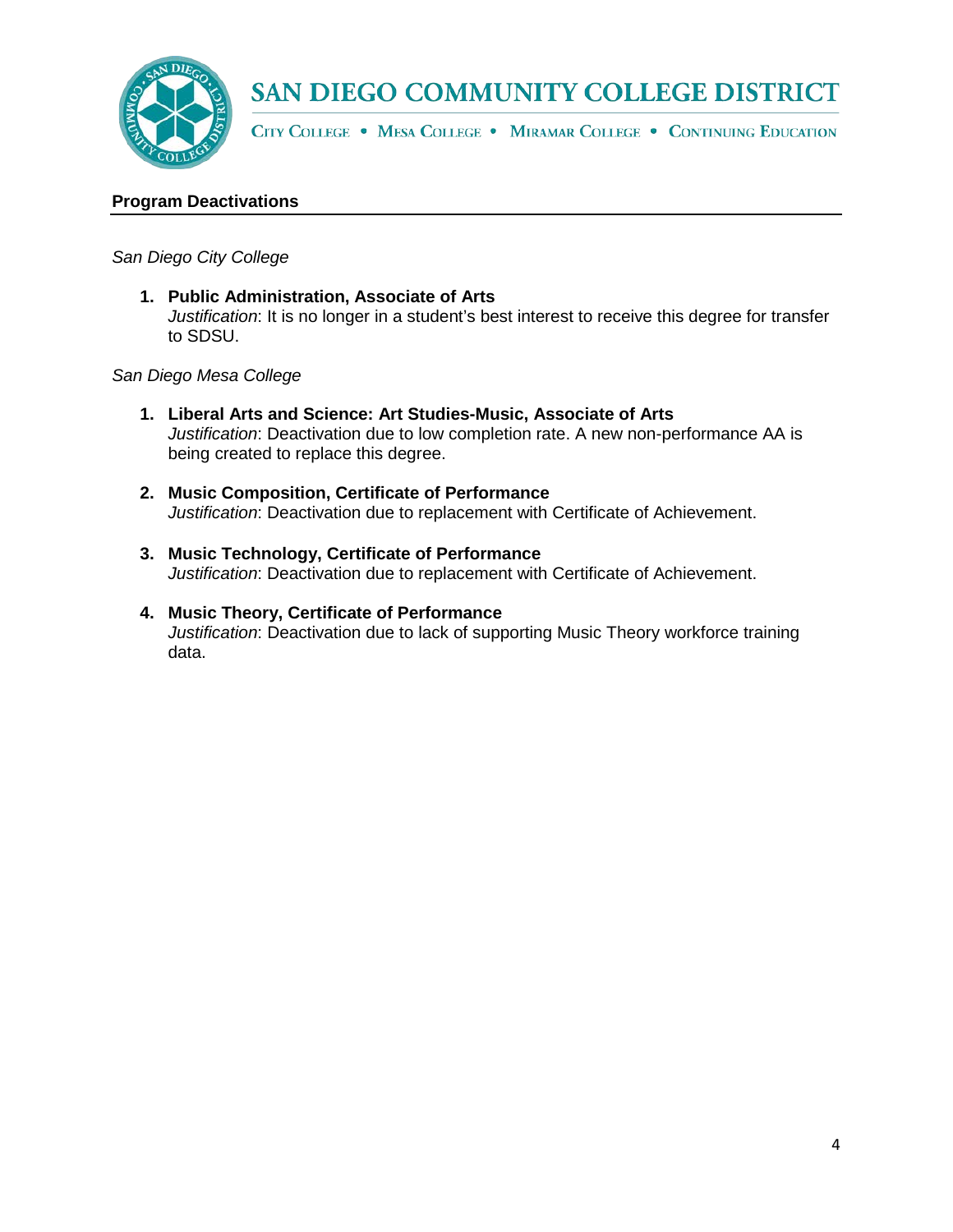

CITY COLLEGE . MESA COLLEGE . MIRAMAR COLLEGE . CONTINUING EDUCATION

# **Program Deactivations**

*San Diego City College*

**1. Public Administration, Associate of Arts** *Justification*: It is no longer in a student's best interest to receive this degree for transfer to SDSU.

*San Diego Mesa College*

- **1. Liberal Arts and Science: Art Studies-Music, Associate of Arts** *Justification*: Deactivation due to low completion rate. A new non-performance AA is being created to replace this degree.
- **2. Music Composition, Certificate of Performance** *Justification*: Deactivation due to replacement with Certificate of Achievement.
- **3. Music Technology, Certificate of Performance** *Justification*: Deactivation due to replacement with Certificate of Achievement.
- **4. Music Theory, Certificate of Performance** *Justification*: Deactivation due to lack of supporting Music Theory workforce training data.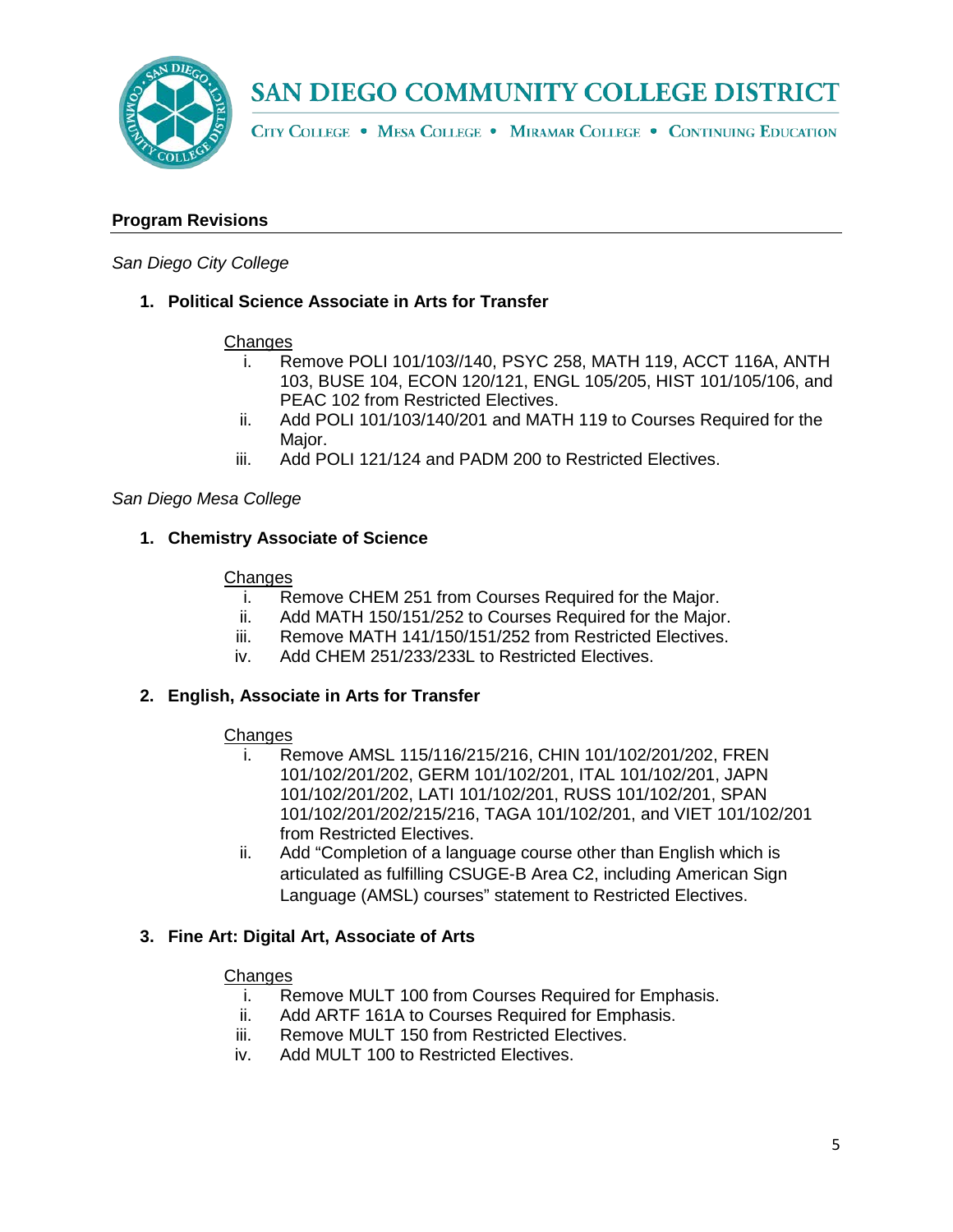

CITY COLLEGE . MESA COLLEGE . MIRAMAR COLLEGE . CONTINUING EDUCATION

# **Program Revisions**

*San Diego City College*

**1. Political Science Associate in Arts for Transfer** 

# **Changes**

- i. Remove POLI 101/103//140, PSYC 258, MATH 119, ACCT 116A, ANTH 103, BUSE 104, ECON 120/121, ENGL 105/205, HIST 101/105/106, and PEAC 102 from Restricted Electives.
- ii. Add POLI 101/103/140/201 and MATH 119 to Courses Required for the Maior.
- iii. Add POLI 121/124 and PADM 200 to Restricted Electives.

# *San Diego Mesa College*

# **1. Chemistry Associate of Science**

# **Changes**

- i. Remove CHEM 251 from Courses Required for the Major.
- ii. Add MATH 150/151/252 to Courses Required for the Major.
- iii. Remove MATH 141/150/151/252 from Restricted Electives.
- iv. Add CHEM 251/233/233L to Restricted Electives.

# **2. English, Associate in Arts for Transfer**

# **Changes**

- i. Remove AMSL 115/116/215/216, CHIN 101/102/201/202, FREN 101/102/201/202, GERM 101/102/201, ITAL 101/102/201, JAPN 101/102/201/202, LATI 101/102/201, RUSS 101/102/201, SPAN 101/102/201/202/215/216, TAGA 101/102/201, and VIET 101/102/201 from Restricted Electives.
- ii. Add "Completion of a language course other than English which is articulated as fulfilling CSUGE-B Area C2, including American Sign Language (AMSL) courses" statement to Restricted Electives.

# **3. Fine Art: Digital Art, Associate of Arts**

# Changes

- i. Remove MULT 100 from Courses Required for Emphasis.
- ii. Add ARTF 161A to Courses Required for Emphasis.
- iii. Remove MULT 150 from Restricted Electives.
- iv. Add MULT 100 to Restricted Electives.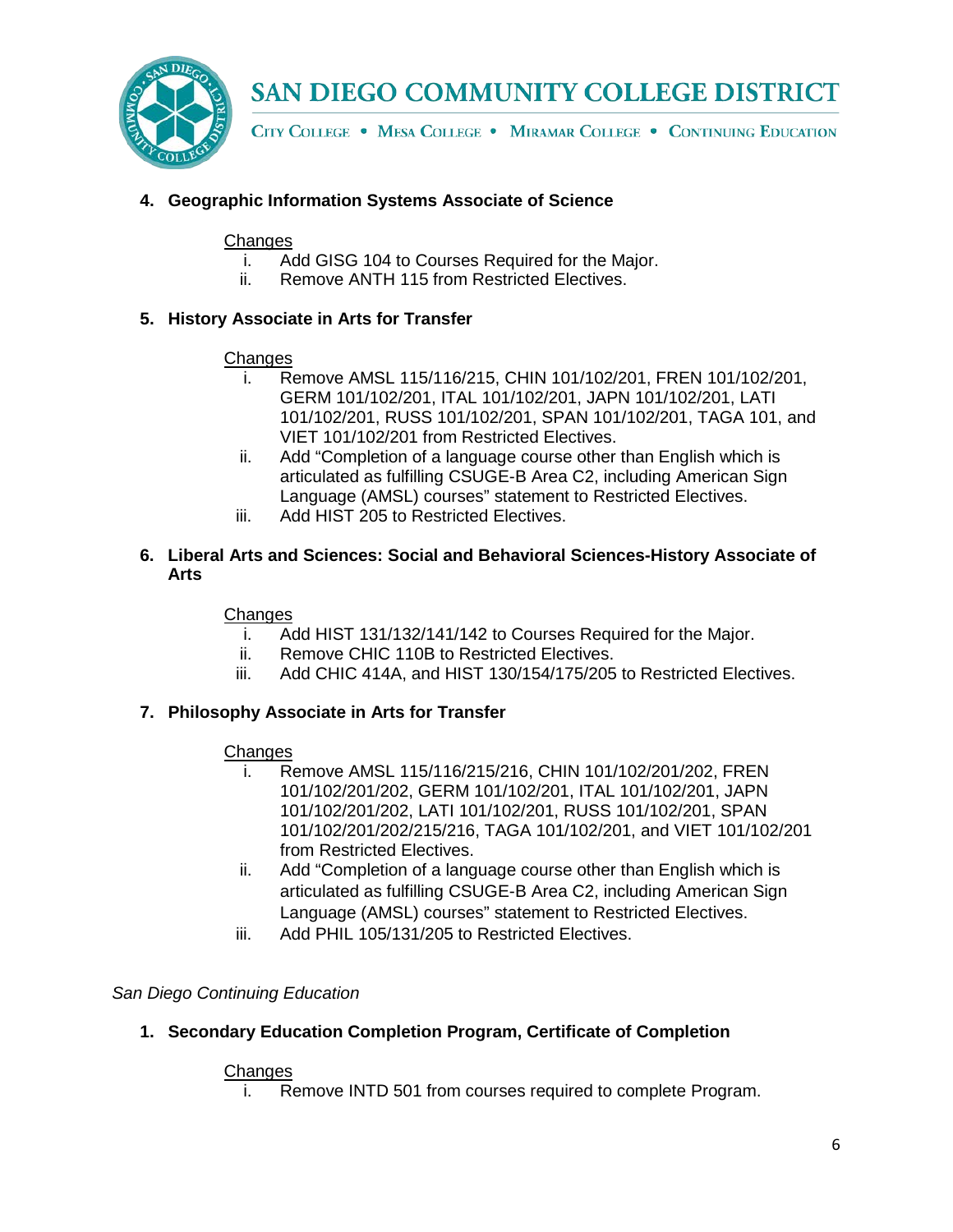

CITY COLLEGE . MESA COLLEGE . MIRAMAR COLLEGE . CONTINUING EDUCATION

# **4. Geographic Information Systems Associate of Science**

# Changes

- i. Add GISG 104 to Courses Required for the Major.
- ii. Remove ANTH 115 from Restricted Electives.

### **5. History Associate in Arts for Transfer**

### **Changes**

- i. Remove AMSL 115/116/215, CHIN 101/102/201, FREN 101/102/201, GERM 101/102/201, ITAL 101/102/201, JAPN 101/102/201, LATI 101/102/201, RUSS 101/102/201, SPAN 101/102/201, TAGA 101, and VIET 101/102/201 from Restricted Electives.
- ii. Add "Completion of a language course other than English which is articulated as fulfilling CSUGE-B Area C2, including American Sign Language (AMSL) courses" statement to Restricted Electives.
- iii. Add HIST 205 to Restricted Electives.

# **6. Liberal Arts and Sciences: Social and Behavioral Sciences-History Associate of Arts**

### **Changes**

- i. Add HIST 131/132/141/142 to Courses Required for the Major.
- ii. Remove CHIC 110B to Restricted Electives.
- iii. Add CHIC 414A, and HIST 130/154/175/205 to Restricted Electives.

# **7. Philosophy Associate in Arts for Transfer**

#### Changes

- i. Remove AMSL 115/116/215/216, CHIN 101/102/201/202, FREN 101/102/201/202, GERM 101/102/201, ITAL 101/102/201, JAPN 101/102/201/202, LATI 101/102/201, RUSS 101/102/201, SPAN 101/102/201/202/215/216, TAGA 101/102/201, and VIET 101/102/201 from Restricted Electives.
- ii. Add "Completion of a language course other than English which is articulated as fulfilling CSUGE-B Area C2, including American Sign Language (AMSL) courses" statement to Restricted Electives.
- iii. Add PHIL 105/131/205 to Restricted Electives.

# *San Diego Continuing Education*

**1. Secondary Education Completion Program, Certificate of Completion**

# **Changes**

i. Remove INTD 501 from courses required to complete Program.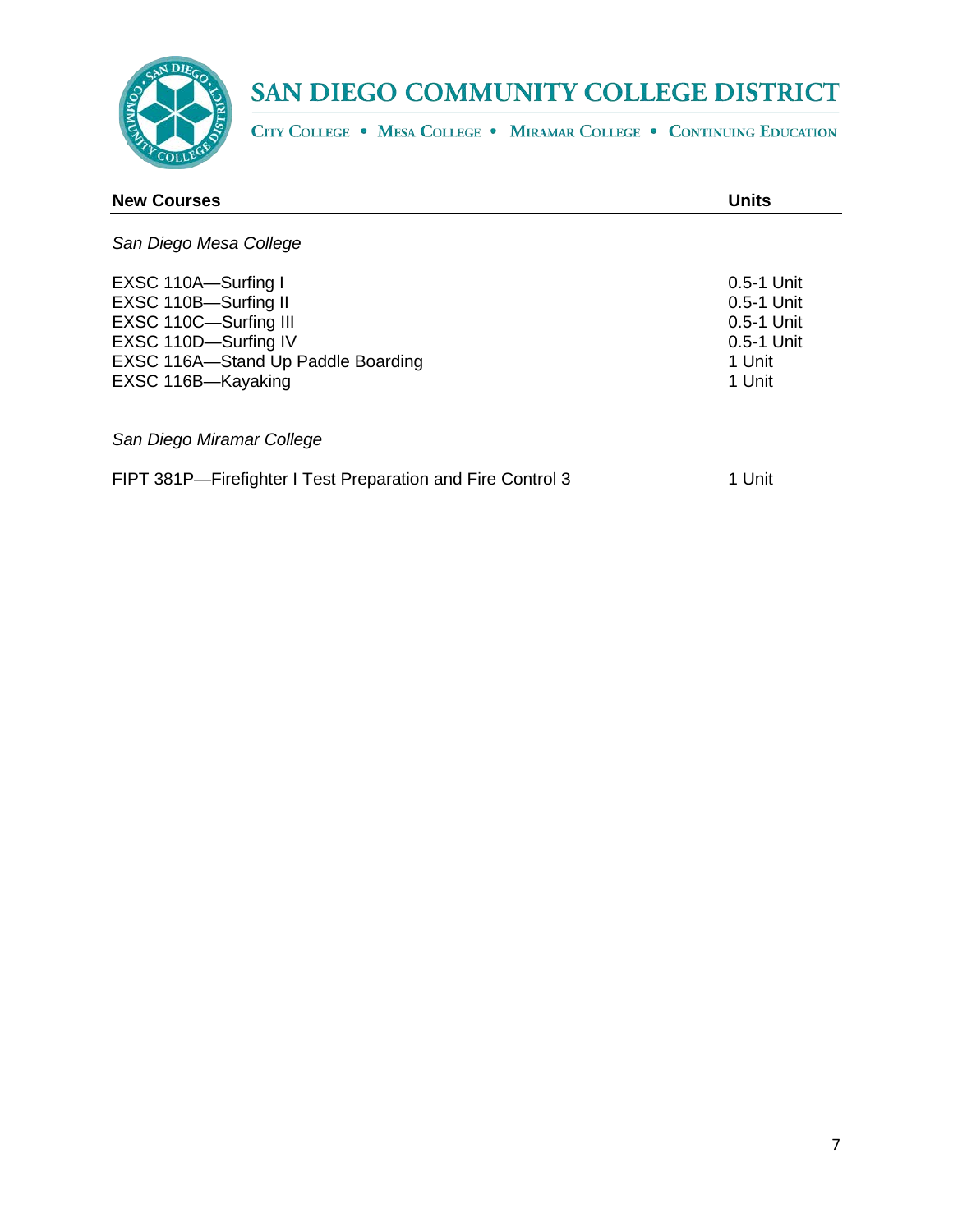

CITY COLLEGE . MESA COLLEGE . MIRAMAR COLLEGE . CONTINUING EDUCATION

| <b>New Courses</b>                                                                                                                                       | <b>Units</b>                                                               |
|----------------------------------------------------------------------------------------------------------------------------------------------------------|----------------------------------------------------------------------------|
| San Diego Mesa College                                                                                                                                   |                                                                            |
| EXSC 110A-Surfing I<br>EXSC 110B-Surfing II<br>EXSC 110C-Surfing III<br>EXSC 110D-Surfing IV<br>EXSC 116A-Stand Up Paddle Boarding<br>EXSC 116B-Kayaking | $0.5-1$ Unit<br>0.5-1 Unit<br>0.5-1 Unit<br>0.5-1 Unit<br>1 Unit<br>1 Unit |
| San Diego Miramar College                                                                                                                                |                                                                            |
| FIPT 381P-Firefighter I Test Preparation and Fire Control 3                                                                                              | 1 Unit                                                                     |